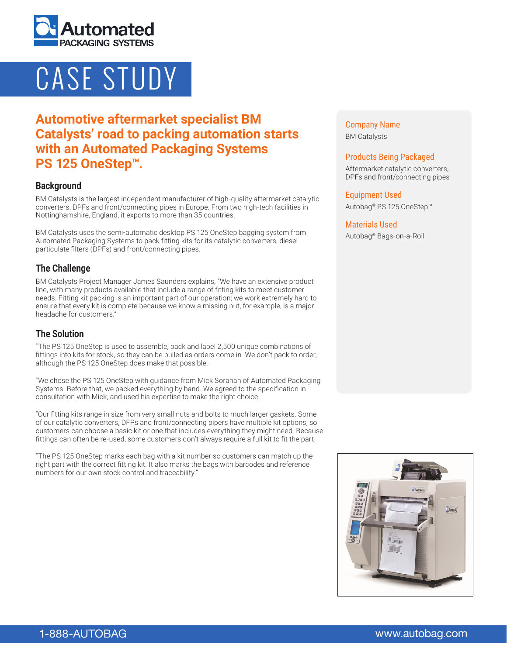

# CASE STUDY

# **Automotive aftermarket specialist BM Catalysts' road to packing automation starts with an Automated Packaging Systems PS 125 OneStep™.**

#### **Background**

BM Catalysts is the largest independent manufacturer of high-quality aftermarket catalytic converters, DPFs and front/connecting pipes in Europe. From two high-tech facilities in Nottinghamshire, England, it exports to more than 35 countries.

BM Catalysts uses the semi-automatic desktop PS 125 OneStep bagging system from Automated Packaging Systems to pack fitting kits for its catalytic converters, diesel particulate filters (DPFs) and front/connecting pipes.

#### **The Challenge**

BM Catalysts Project Manager James Saunders explains, "We have an extensive product line, with many products available that include a range of fitting kits to meet customer needs. Fitting kit packing is an important part of our operation; we work extremely hard to ensure that every kit is complete because we know a missing nut, for example, is a major headache for customers."

## **The Solution**

"The PS 125 OneStep is used to assemble, pack and label 2,500 unique combinations of fittings into kits for stock, so they can be pulled as orders come in. We don't pack to order, although the PS 125 OneStep does make that possible.

"We chose the PS 125 OneStep with guidance from Mick Sorahan of Automated Packaging Systems. Before that, we packed everything by hand. We agreed to the specification in consultation with Mick, and used his expertise to make the right choice.

"Our fitting kits range in size from very small nuts and bolts to much larger gaskets. Some of our catalytic converters, DFPs and front/connecting pipers have multiple kit options, so customers can choose a basic kit or one that includes everything they might need. Because fittings can often be re-used, some customers don't always require a full kit to fit the part.

"The PS 125 OneStep marks each bag with a kit number so customers can match up the right part with the correct fitting kit. It also marks the bags with barcodes and reference numbers for our own stock control and traceability."

Company Name BM Catalysts

#### Products Being Packaged

Aftermarket catalytic converters, DPFs and front/connecting pipes

Equipment Used Autobag® PS 125 OneStep™

#### Materials Used

Autobag® Bags-on-a-Roll